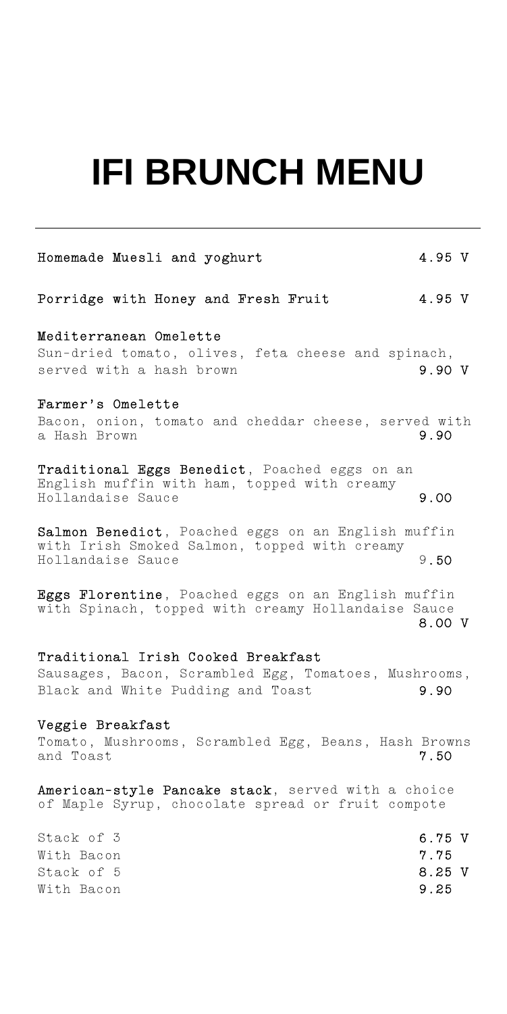# **IFI BRUNCH MENU**

| Homemade Muesli and yoghurt                                                                                             | 4.95 V |
|-------------------------------------------------------------------------------------------------------------------------|--------|
| Porridge with Honey and Fresh Fruit                                                                                     | 4.95 V |
| Mediterranean Omelette                                                                                                  |        |
| Sun-dried tomato, olives, feta cheese and spinach,<br>served with a hash brown                                          | 9.90 V |
| Farmer's Omelette                                                                                                       |        |
| Bacon, onion, tomato and cheddar cheese, served with<br>a Hash Brown                                                    | 9.90   |
| Traditional Eggs Benedict, Poached eggs on an<br>English muffin with ham, topped with creamy<br>Hollandaise Sauce       | 9.00   |
| Salmon Benedict, Poached eggs on an English muffin<br>with Irish Smoked Salmon, topped with creamy<br>Hollandaise Sauce | 9.50   |
| Eggs Florentine, Poached eggs on an English muffin<br>with Spinach, topped with creamy Hollandaise Sauce                | 8.00 V |
| Traditional Irish Cooked Breakfast                                                                                      |        |
| Sausages, Bacon, Scrambled Egg, Tomatoes, Mushrooms,                                                                    |        |
| Black and White Pudding and Toast                                                                                       | 9.90   |

#### Veggie Breakfast

Tomato, Mushrooms, Scrambled Egg, Beans, Hash Browns<br>and Toast 7.50 and Toast

American-style Pancake stack, served with a choice of Maple Syrup, chocolate spread or fruit compote

| Stack of 3 | 6.75 V |  |
|------------|--------|--|
| With Bacon | 7.75   |  |
| Stack of 5 | 8.25 V |  |
| With Bacon | 9.25   |  |